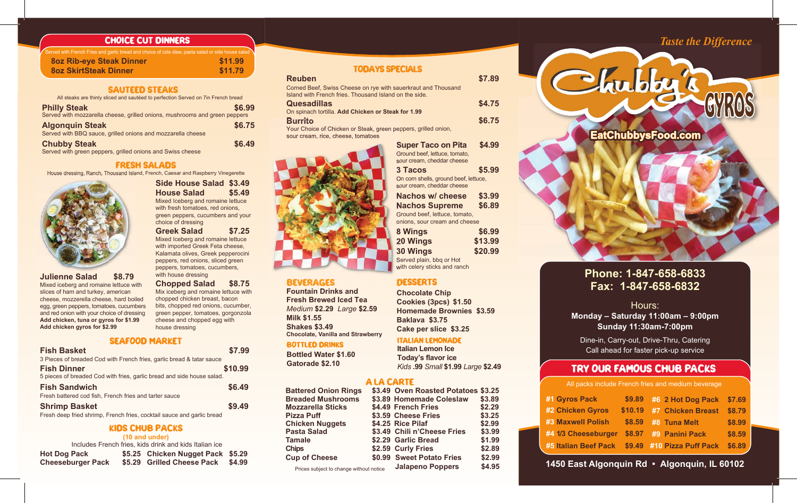#### CHOICE CUT DINNERS

| Served with French Fries and garlic bread and choice of cole slaw, pasta salad or side house salad \ |         |
|------------------------------------------------------------------------------------------------------|---------|
| <b>802 Rib-eye Steak Dinner</b>                                                                      | \$11.99 |
| <b>802 SkirtSteak Dinner</b>                                                                         | \$11.79 |

#### SAUTEED STEAKS

All steaks are thinly sliced and sautéed to perfection Served on 7in French bread

| <b>Philly Steak</b>                                                        | \$6.99 |
|----------------------------------------------------------------------------|--------|
| Served with mozzarella cheese, grilled onions, mushrooms and green peppers |        |
| <b>Algonquin Steak</b>                                                     | \$6.75 |
| Served with BBQ sauce, grilled onions and mozzarella cheese                |        |
| <b>Chubby Steak</b>                                                        | \$6.49 |
| Served with green peppers, grilled onions and Swiss cheese                 |        |

#### FRESH SALADS

**Side House Salad \$3.49 House Salad \$5.49** Mixed Iceberg and romaine lettuce with fresh tomatoes, red onions, green peppers, cucumbers and your

**Greek Salad \$7.25** Mixed Iceberg and romaine lettuce with imported Greek Feta cheese, Kalamata olives, Greek pepperocini peppers, red onions, sliced green peppers, tomatoes, cucumbers,

**Chopped Salad \$8.75** Mix iceberg and romaine lettuce with chopped chicken breast, bacon bits, chopped red onions, cucumber, green pepper, tomatoes, gorgonzola cheese and chopped egg with

choice of dressing

with house dressing

house dressing

House dressing, Ranch, Thousand Island, French, Caesar and Raspberry Vinegerette



**Julienne Salad \$8.79** Mixed iceberg and romaine lettuce with slices of ham and turkey, american cheese, mozzerella cheese, hard boiled egg, green peppers, tomatoes, cucumbers and red onion with your choice of dressing **Add chicken, tuna or gyros for \$1.99 Add chicken gyros for \$2.99**

#### SEAFOOD MARKET

| <b>Fish Basket</b>                                                     | \$7.99  |
|------------------------------------------------------------------------|---------|
| 3 Pieces of breaded Cod with French fries, garlic bread & tatar sauce  |         |
| <b>Fish Dinner</b>                                                     | \$10.99 |
| 5 pieces of breaded Cod with fries, garlic bread and side house salad. |         |
| <b>Fish Sandwich</b>                                                   | \$6.49  |
| Fresh battered cod fish, French fries and tarter sauce                 |         |
| <b>Shrimp Basket</b>                                                   | \$9.49  |
| Fresh deep fried shrimp, French fries, cocktail sauce and garlic bread |         |

#### KIDS CHUB PACKS **(10 and under)**

|                                                 | (10 and under)<br>Includes French fries, kids drink and kids Italian ice |        |
|-------------------------------------------------|--------------------------------------------------------------------------|--------|
| <b>Hot Dog Pack</b><br><b>Cheeseburger Pack</b> | \$5.25 Chicken Nugget Pack \$5.29<br>\$5.29 Grilled Cheese Pack          | \$4.99 |

# **Reuben \$7.89** Corned Beef, Swiss Cheese on rye with sauerkraut and Thousand Island with French fries. Thousand Island on the side.

| <b>Quesadillas</b>                                             | \$4.75 |
|----------------------------------------------------------------|--------|
| On spinach tortilla. Add Chicken or Steak for 1.99             |        |
| <b>Burrito</b>                                                 | \$6.75 |
| Your Choice of Chicken or Steak, green peppers, grilled onion, |        |
| sour cream, rice, cheese, tomatoes                             |        |



## BEVERAGES

**Fountain Drinks and Fresh Brewed Iced Tea** *Medium* **\$2.29** *Large* **\$2.59 Milk \$1.55 Shakes \$3.49 Chocolate, Vanilla and Strawberry**

#### BOTTLED DRINKS

**Bottled Water \$1.60 Gatorade \$2.10**

#### A LA CARTE

| <b>Battered Onion Rings</b>             | \$3.49 Oven Roasted Potatoes \$3.25 |        |
|-----------------------------------------|-------------------------------------|--------|
| <b>Breaded Mushrooms</b>                | \$3.89 Homemade Coleslaw            | \$3.89 |
| <b>Mozzarella Sticks</b>                | \$4.49 French Fries                 | \$2.29 |
| <b>Pizza Puff</b>                       | \$3.59 Cheese Fries                 | \$3.25 |
| <b>Chicken Nuggets</b>                  | \$4.25 Rice Pilaf                   | \$2.99 |
| <b>Pasta Salad</b>                      | \$3.49 Chili n'Cheese Fries         | \$3.99 |
| <b>Tamale</b>                           | \$2.29 Garlic Bread                 | \$1.99 |
| <b>Chips</b>                            | \$2.59 Curly Fries                  | \$2.89 |
| <b>Cup of Cheese</b>                    | \$0.99 Sweet Potato Fries           | \$2.99 |
| Prices subject to change without notice | <b>Jalapeno Poppers</b>             | \$4.95 |

### TODAYS SPECIALS

| peppers, grilled onion,                                                               |         |
|---------------------------------------------------------------------------------------|---------|
| <b>Super Taco on Pita</b><br>Ground beef, lettuce, tomato,                            | \$4.99  |
| sour cream, cheddar cheese                                                            |         |
| <b>3 Tacos</b><br>On corn shells, ground beef, lettuce,<br>sour cream. cheddar cheese | \$5.99  |
| Nachos w/ cheese                                                                      | \$3.99  |
| <b>Nachos Supreme</b>                                                                 | \$6.89  |
| Ground beef, lettuce, tomato,<br>onions, sour cream and cheese                        |         |
| 8 Wings                                                                               | \$6.99  |
| 20 Wings                                                                              | \$13.99 |
| <b>30 Wings</b>                                                                       | \$20.99 |
| Served plain, bbq or Hot<br>with celery sticks and ranch                              |         |

**Cookies (3pcs) \$1.50 Homemade Brownies \$3.59 Baklava \$3.75 Cake per slice \$3.25**

**Today's flavor ice** *Kids* **.99** *Small* **\$1.99** *Large* **\$2.49**

# ITALIAN LEMONADE **Italian Lemon Ice**

|   | toes \$3.25 | <b>AIL</b> |
|---|-------------|------------|
|   |             |            |
| W | \$3.89      | #1 Gyros   |
|   | \$2.29      | #2 Chicke  |
|   | \$3.25      |            |
|   | \$2.99      | #3 Maxwe   |
| š | \$3.99      | #4 1/3 Che |
|   | \$1.99      |            |
|   | \$2.89      | #5 Italian |
|   | \$2.99      |            |
|   | 010E        | 1450 Eas   |
|   |             |            |

# *Taste the Difference*



# **Phone: 1-847-658-6833 Fax: 1-847-658-6832**

Hours: **Monday – Saturday 11:00am – 9:00pm Sunday 11:30am-7:00pm**

Dine-in, Carry-out, Drive-Thru, Catering Call ahead for faster pick-up service

# TRY OUR FAMOUS CHUB PACKS

acks include French fries and medium beverage

| #1 Gyros Pack            | \$9.89  | #6 2 Hot Dog Pack \$7.69   |        |
|--------------------------|---------|----------------------------|--------|
| #2 Chicken Gyros         | \$10.19 | #7 Chicken Breast          | \$8.79 |
| <b>#3 Maxwell Polish</b> | \$8.59  | #8 Tuna Melt               | \$8.99 |
| #4 1/3 Cheeseburger      | \$8.97  | #9 Panini Pack             | \$8.59 |
| #5 Italian Beef Pack     |         | \$9.49 #10 Pizza Puff Pack | \$6.89 |

Prices subject to change without notice **1450 East Algonquin Rd • Algonquin, IL 60102**

| <b>20 Wings</b>              | \$13 |
|------------------------------|------|
| <b>30 Wings</b>              | \$20 |
| Served plain, bbq or Hot     |      |
| with celery sticks and ranch |      |
| <b>DESSERTS</b>              |      |
|                              |      |
| <b>Chocolate Chip</b>        |      |
| $O = -1.5$ and $O = -1$      |      |